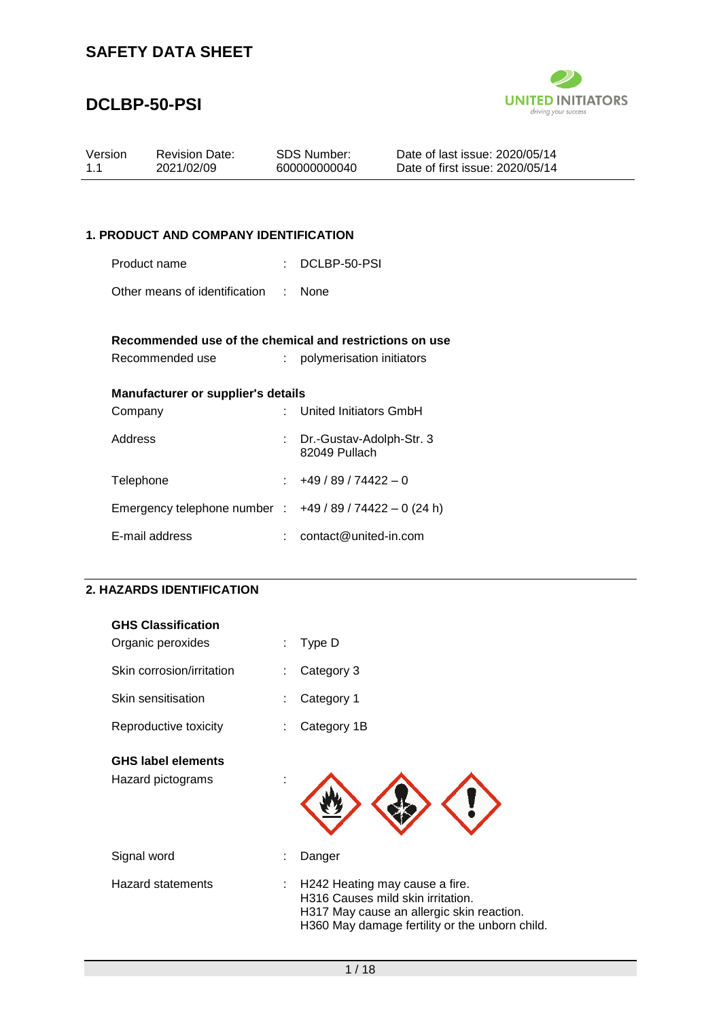

## **DCLBP-50-PSI**

| Version | <b>Revision Date:</b> | SDS Number:  | Date of last issue: 2020/05/14  |  |
|---------|-----------------------|--------------|---------------------------------|--|
| 11      | 2021/02/09            | 600000000040 | Date of first issue: 2020/05/14 |  |
|         |                       |              |                                 |  |

### **1. PRODUCT AND COMPANY IDENTIFICATION**

Product name : DCLBP-50-PSI

Other means of identification : None

#### **Recommended use of the chemical and restrictions on use**

| Recommended use | polymerisation initiators |  |
|-----------------|---------------------------|--|
|                 |                           |  |

| Manufacturer or supplier's details |  |                               |  |
|------------------------------------|--|-------------------------------|--|
| Company                            |  | : United Initiators GmbH      |  |
| <b>Address</b>                     |  | $\cdot$ Dr -Gustav-Adolph-Str |  |

| Address                                                | : Dr.-Gustav-Adolph-Str. 3<br>82049 Pullach |
|--------------------------------------------------------|---------------------------------------------|
| Telephone                                              | $\div$ +49 / 89 / 74422 - 0                 |
| Emergency telephone number : $+49/89/74422 - 0$ (24 h) |                                             |
| E-mail address                                         | contact@united-in.com                       |

#### **2. HAZARDS IDENTIFICATION**

| <b>GHS Classification</b><br>Organic peroxides | Type D                                                                                                                                                                  |
|------------------------------------------------|-------------------------------------------------------------------------------------------------------------------------------------------------------------------------|
| Skin corrosion/irritation                      | Category 3                                                                                                                                                              |
| Skin sensitisation                             | Category 1                                                                                                                                                              |
| Reproductive toxicity                          | Category 1B                                                                                                                                                             |
| <b>GHS label elements</b><br>Hazard pictograms |                                                                                                                                                                         |
| Signal word                                    | Danger                                                                                                                                                                  |
| <b>Hazard statements</b>                       | H242 Heating may cause a fire.<br>÷<br>H316 Causes mild skin irritation.<br>H317 May cause an allergic skin reaction.<br>H360 May damage fertility or the unborn child. |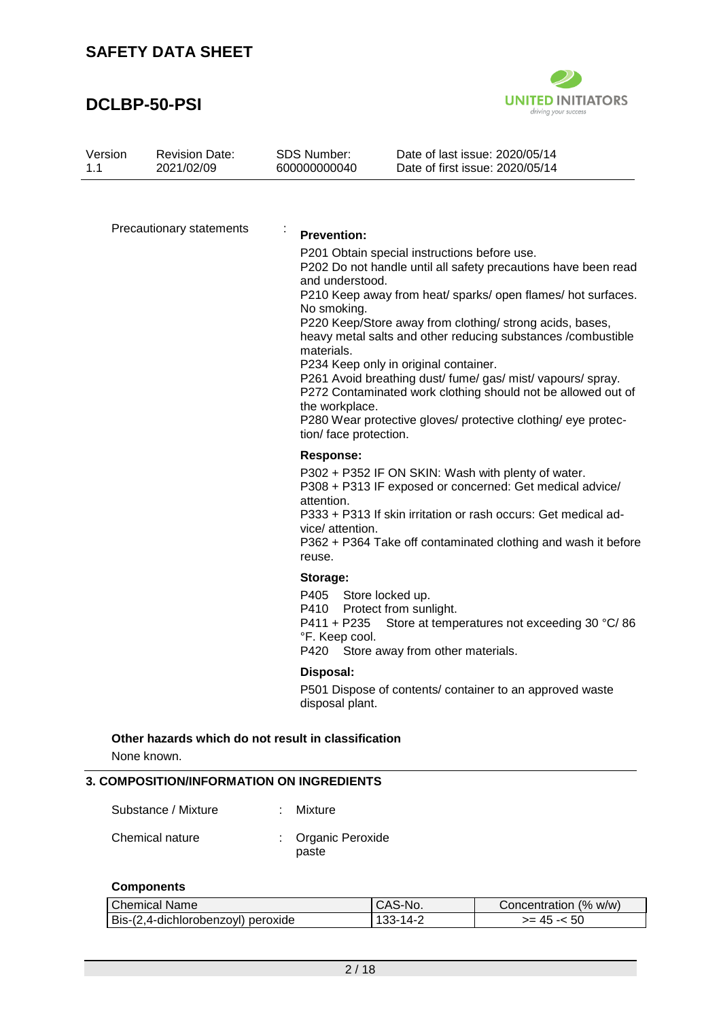## **DCLBP-50-PSI**



| Version | <b>Revision Date:</b> | SDS Number:  | Date of last issue: 2020/05/14  |
|---------|-----------------------|--------------|---------------------------------|
| 1.1     | 2021/02/09            | 600000000040 | Date of first issue: 2020/05/14 |

Precautionary statements :

#### **Prevention:**

P201 Obtain special instructions before use.

P202 Do not handle until all safety precautions have been read and understood.

P210 Keep away from heat/ sparks/ open flames/ hot surfaces. No smoking.

P220 Keep/Store away from clothing/ strong acids, bases, heavy metal salts and other reducing substances /combustible materials.

P234 Keep only in original container.

P261 Avoid breathing dust/ fume/ gas/ mist/ vapours/ spray. P272 Contaminated work clothing should not be allowed out of the workplace.

P280 Wear protective gloves/ protective clothing/ eye protection/ face protection.

#### **Response:**

P302 + P352 IF ON SKIN: Wash with plenty of water. P308 + P313 IF exposed or concerned: Get medical advice/ attention.

P333 + P313 If skin irritation or rash occurs: Get medical advice/ attention.

P362 + P364 Take off contaminated clothing and wash it before reuse.

#### **Storage:**

P405 Store locked up. P410 Protect from sunlight. P411 + P235 Store at temperatures not exceeding 30 °C/86 °F. Keep cool. P420 Store away from other materials.

#### **Disposal:**

P501 Dispose of contents/ container to an approved waste disposal plant.

### **Other hazards which do not result in classification**

None known.

#### **3. COMPOSITION/INFORMATION ON INGREDIENTS**

| Substance / Mixture | : Mixture                   |
|---------------------|-----------------------------|
| Chemical nature     | : Organic Peroxide<br>paste |

#### **Components**

| <b>Chemical Name</b>               | CAS-No.        | Concentration (% w/w) |
|------------------------------------|----------------|-----------------------|
| Bis-(2,4-dichlorobenzoyl) peroxide | $133 - 14 - 7$ | $>= 45 - 50$          |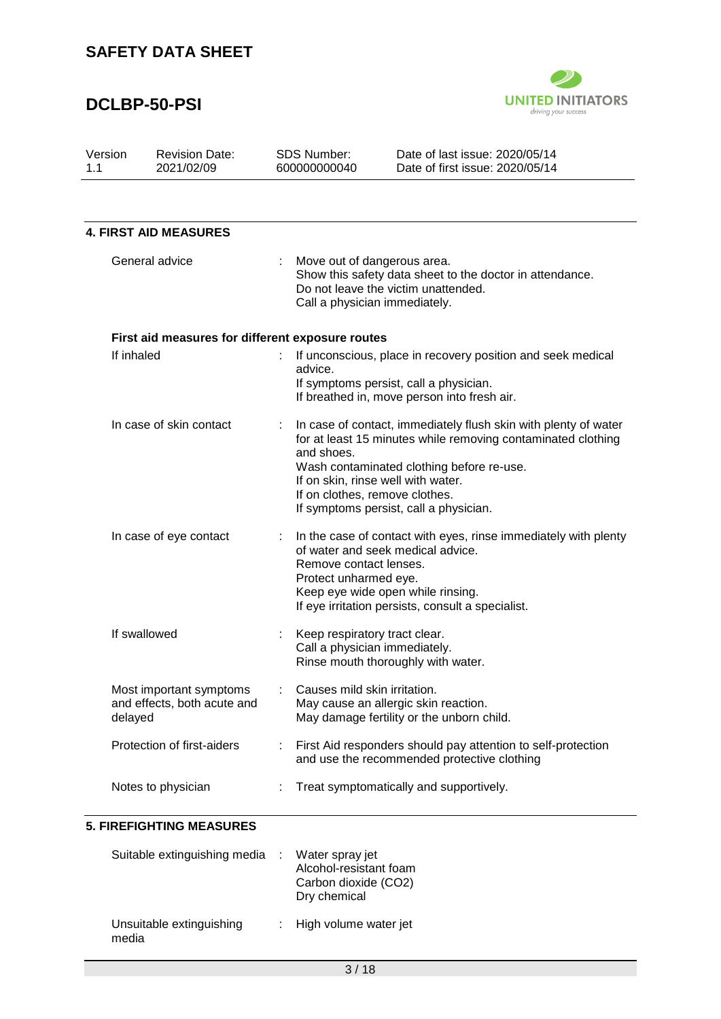# **DCLBP-50-PSI**



| Version<br>1.1 | <b>Revision Date:</b><br>2021/02/09                    | <b>SDS Number:</b><br>600000000040                             | Date of last issue: 2020/05/14<br>Date of first issue: 2020/05/14                                                                                                                                                                                            |
|----------------|--------------------------------------------------------|----------------------------------------------------------------|--------------------------------------------------------------------------------------------------------------------------------------------------------------------------------------------------------------------------------------------------------------|
|                | <b>4. FIRST AID MEASURES</b>                           |                                                                |                                                                                                                                                                                                                                                              |
|                | General advice                                         | Move out of dangerous area.<br>Call a physician immediately.   | Show this safety data sheet to the doctor in attendance.<br>Do not leave the victim unattended.                                                                                                                                                              |
|                | First aid measures for different exposure routes       |                                                                |                                                                                                                                                                                                                                                              |
| If inhaled     |                                                        | advice.                                                        | If unconscious, place in recovery position and seek medical<br>If symptoms persist, call a physician.<br>If breathed in, move person into fresh air.                                                                                                         |
|                | In case of skin contact                                | and shoes.<br>If on clothes, remove clothes.                   | In case of contact, immediately flush skin with plenty of water<br>for at least 15 minutes while removing contaminated clothing<br>Wash contaminated clothing before re-use.<br>If on skin, rinse well with water.<br>If symptoms persist, call a physician. |
|                | In case of eye contact                                 | Remove contact lenses.<br>Protect unharmed eye.                | In the case of contact with eyes, rinse immediately with plenty<br>of water and seek medical advice.<br>Keep eye wide open while rinsing.<br>If eye irritation persists, consult a specialist.                                                               |
|                | If swallowed                                           | Keep respiratory tract clear.<br>Call a physician immediately. | Rinse mouth thoroughly with water.                                                                                                                                                                                                                           |
| delayed        | Most important symptoms<br>and effects, both acute and | Causes mild skin irritation.                                   | May cause an allergic skin reaction.<br>May damage fertility or the unborn child.                                                                                                                                                                            |
|                | Protection of first-aiders                             |                                                                | First Aid responders should pay attention to self-protection<br>and use the recommended protective clothing                                                                                                                                                  |
|                | Notes to physician                                     |                                                                | Treat symptomatically and supportively.                                                                                                                                                                                                                      |

#### **5. FIREFIGHTING MEASURES**

| Suitable extinguishing media      | Water spray jet<br>Alcohol-resistant foam<br>Carbon dioxide (CO2)<br>Dry chemical |
|-----------------------------------|-----------------------------------------------------------------------------------|
| Unsuitable extinguishing<br>media | : High volume water jet                                                           |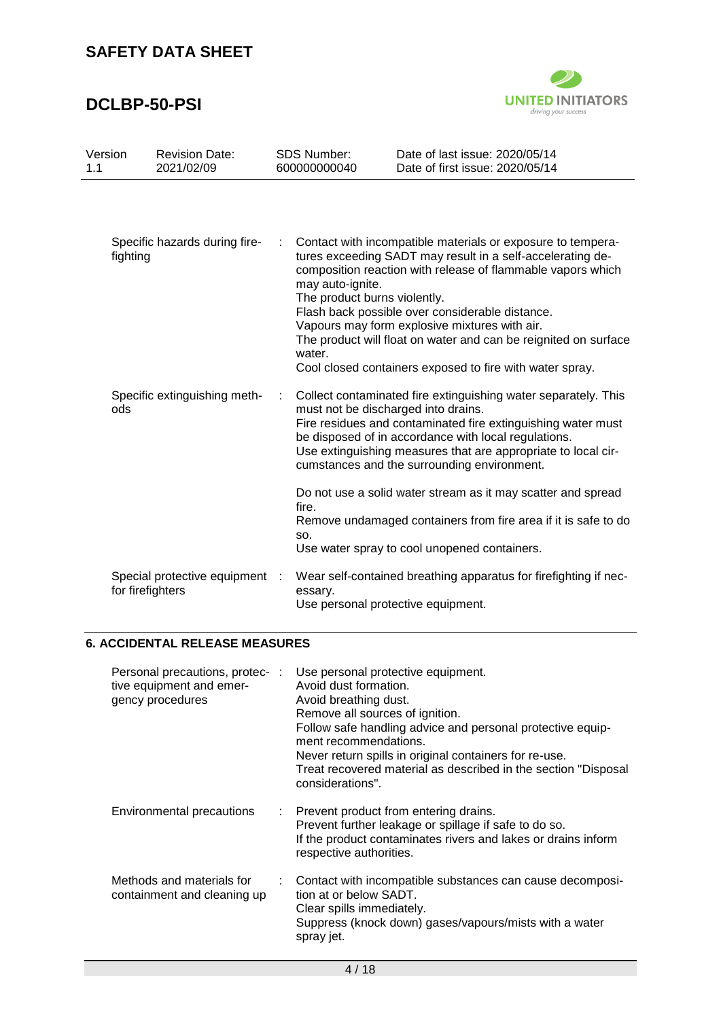# **DCLBP-50-PSI**



| Version<br>1.1 | <b>Revision Date:</b><br>2021/02/09                |              | <b>SDS Number:</b><br>600000000040               | Date of last issue: 2020/05/14<br>Date of first issue: 2020/05/14                                                                                                                                                                                                                                                                                                                                                           |
|----------------|----------------------------------------------------|--------------|--------------------------------------------------|-----------------------------------------------------------------------------------------------------------------------------------------------------------------------------------------------------------------------------------------------------------------------------------------------------------------------------------------------------------------------------------------------------------------------------|
|                |                                                    |              |                                                  |                                                                                                                                                                                                                                                                                                                                                                                                                             |
| fighting       | Specific hazards during fire-                      | water.       | may auto-ignite.<br>The product burns violently. | Contact with incompatible materials or exposure to tempera-<br>tures exceeding SADT may result in a self-accelerating de-<br>composition reaction with release of flammable vapors which<br>Flash back possible over considerable distance.<br>Vapours may form explosive mixtures with air.<br>The product will float on water and can be reignited on surface<br>Cool closed containers exposed to fire with water spray. |
| ods            | Specific extinguishing meth-                       | ÷            |                                                  | Collect contaminated fire extinguishing water separately. This<br>must not be discharged into drains.<br>Fire residues and contaminated fire extinguishing water must<br>be disposed of in accordance with local regulations.<br>Use extinguishing measures that are appropriate to local cir-<br>cumstances and the surrounding environment.                                                                               |
|                |                                                    | fire.<br>SO. |                                                  | Do not use a solid water stream as it may scatter and spread<br>Remove undamaged containers from fire area if it is safe to do<br>Use water spray to cool unopened containers.                                                                                                                                                                                                                                              |
|                | Special protective equipment :<br>for firefighters |              | essary.                                          | Wear self-contained breathing apparatus for firefighting if nec-<br>Use personal protective equipment.                                                                                                                                                                                                                                                                                                                      |

### **6. ACCIDENTAL RELEASE MEASURES**

| Personal precautions, protec-:<br>tive equipment and emer-<br>gency procedures |   | Use personal protective equipment.<br>Avoid dust formation.<br>Avoid breathing dust.<br>Remove all sources of ignition.<br>Follow safe handling advice and personal protective equip-<br>ment recommendations.<br>Never return spills in original containers for re-use.<br>Treat recovered material as described in the section "Disposal<br>considerations". |
|--------------------------------------------------------------------------------|---|----------------------------------------------------------------------------------------------------------------------------------------------------------------------------------------------------------------------------------------------------------------------------------------------------------------------------------------------------------------|
| Environmental precautions                                                      |   | : Prevent product from entering drains.<br>Prevent further leakage or spillage if safe to do so.<br>If the product contaminates rivers and lakes or drains inform<br>respective authorities.                                                                                                                                                                   |
| Methods and materials for<br>containment and cleaning up                       | ÷ | Contact with incompatible substances can cause decomposi-<br>tion at or below SADT.<br>Clear spills immediately.<br>Suppress (knock down) gases/vapours/mists with a water<br>spray jet.                                                                                                                                                                       |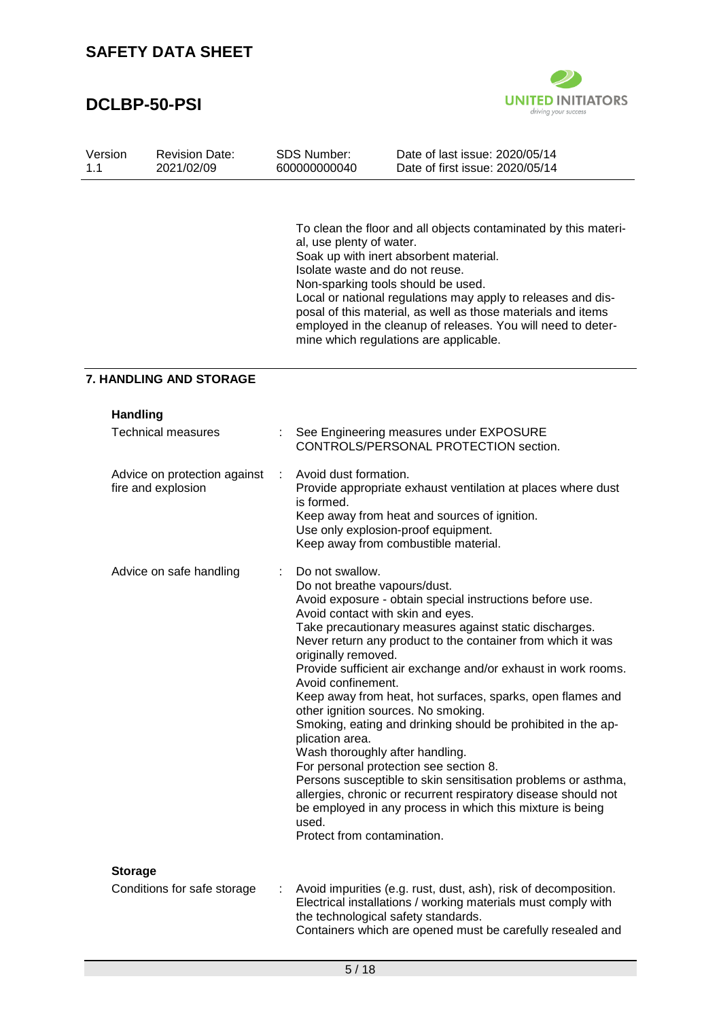

| Version<br>1.1 | <b>Revision Date:</b><br>2021/02/09                | <b>SDS Number:</b><br>600000000040                                                                                                                      | Date of last issue: 2020/05/14<br>Date of first issue: 2020/05/14                                                                                                                                                                                                                                                                                                                                                                                                                                                                                                                                                                                                                                                                         |
|----------------|----------------------------------------------------|---------------------------------------------------------------------------------------------------------------------------------------------------------|-------------------------------------------------------------------------------------------------------------------------------------------------------------------------------------------------------------------------------------------------------------------------------------------------------------------------------------------------------------------------------------------------------------------------------------------------------------------------------------------------------------------------------------------------------------------------------------------------------------------------------------------------------------------------------------------------------------------------------------------|
|                |                                                    | al, use plenty of water.                                                                                                                                | To clean the floor and all objects contaminated by this materi-<br>Soak up with inert absorbent material.<br>Isolate waste and do not reuse.<br>Non-sparking tools should be used.<br>Local or national regulations may apply to releases and dis-<br>posal of this material, as well as those materials and items<br>employed in the cleanup of releases. You will need to deter-<br>mine which regulations are applicable.                                                                                                                                                                                                                                                                                                              |
|                | <b>7. HANDLING AND STORAGE</b>                     |                                                                                                                                                         |                                                                                                                                                                                                                                                                                                                                                                                                                                                                                                                                                                                                                                                                                                                                           |
|                | <b>Handling</b>                                    |                                                                                                                                                         |                                                                                                                                                                                                                                                                                                                                                                                                                                                                                                                                                                                                                                                                                                                                           |
|                | <b>Technical measures</b>                          |                                                                                                                                                         | See Engineering measures under EXPOSURE<br>CONTROLS/PERSONAL PROTECTION section.                                                                                                                                                                                                                                                                                                                                                                                                                                                                                                                                                                                                                                                          |
|                | Advice on protection against<br>fire and explosion | Avoid dust formation.<br>÷<br>is formed.                                                                                                                | Provide appropriate exhaust ventilation at places where dust<br>Keep away from heat and sources of ignition.<br>Use only explosion-proof equipment.<br>Keep away from combustible material.                                                                                                                                                                                                                                                                                                                                                                                                                                                                                                                                               |
|                | Advice on safe handling                            | Do not swallow.<br>Do not breathe vapours/dust.<br>originally removed.<br>Avoid confinement.<br>plication area.<br>used.<br>Protect from contamination. | Avoid exposure - obtain special instructions before use.<br>Avoid contact with skin and eyes.<br>Take precautionary measures against static discharges.<br>Never return any product to the container from which it was<br>Provide sufficient air exchange and/or exhaust in work rooms.<br>Keep away from heat, hot surfaces, sparks, open flames and<br>other ignition sources. No smoking.<br>Smoking, eating and drinking should be prohibited in the ap-<br>Wash thoroughly after handling.<br>For personal protection see section 8.<br>Persons susceptible to skin sensitisation problems or asthma,<br>allergies, chronic or recurrent respiratory disease should not<br>be employed in any process in which this mixture is being |
|                | <b>Storage</b><br>Conditions for safe storage      |                                                                                                                                                         | Avoid impurities (e.g. rust, dust, ash), risk of decomposition.<br>Electrical installations / working materials must comply with<br>the technological safety standards.<br>Containers which are opened must be carefully resealed and                                                                                                                                                                                                                                                                                                                                                                                                                                                                                                     |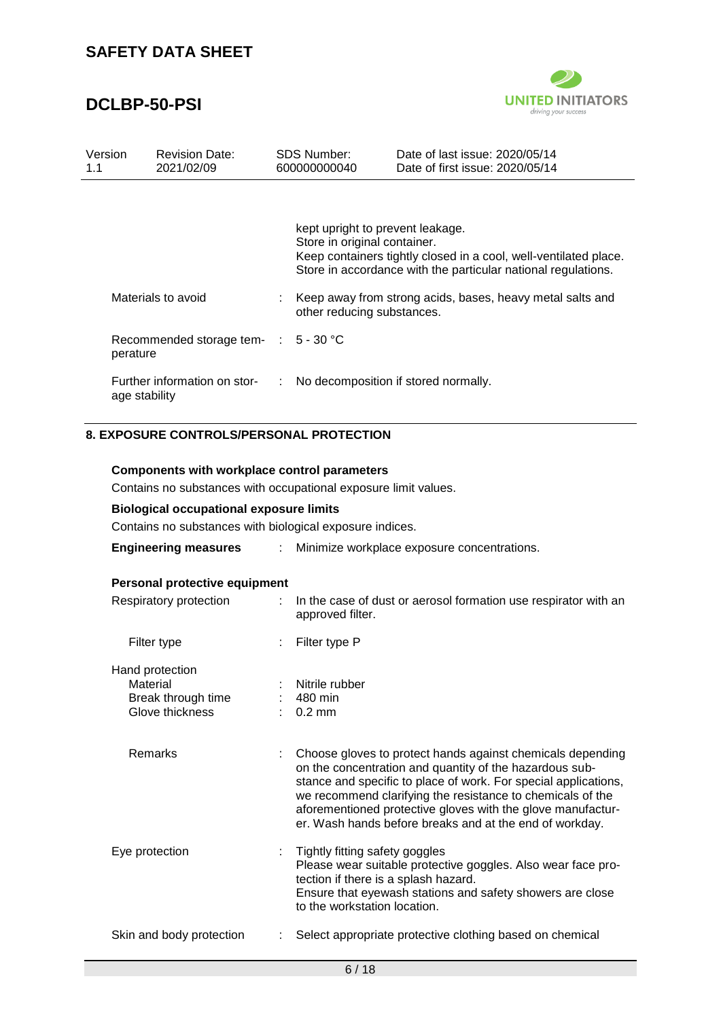# **DCLBP-50-PSI**



| Version<br>1.1 | <b>Revision Date:</b><br>2021/02/09              |    | <b>SDS Number:</b><br>600000000040                               | Date of last issue: 2020/05/14<br>Date of first issue: 2020/05/14                                                                 |
|----------------|--------------------------------------------------|----|------------------------------------------------------------------|-----------------------------------------------------------------------------------------------------------------------------------|
|                |                                                  |    | kept upright to prevent leakage.<br>Store in original container. | Keep containers tightly closed in a cool, well-ventilated place.<br>Store in accordance with the particular national regulations. |
|                | Materials to avoid                               |    | other reducing substances.                                       | Keep away from strong acids, bases, heavy metal salts and                                                                         |
|                | Recommended storage tem- : 5 - 30 °C<br>perature |    |                                                                  |                                                                                                                                   |
|                | Further information on stor-<br>age stability    | ÷. |                                                                  | No decomposition if stored normally.                                                                                              |

### **8. EXPOSURE CONTROLS/PERSONAL PROTECTION**

**Components with workplace control parameters**

| Contains no substances with occupational exposure limit values.      |                                                                                                                                                                                                                                                                                                                                                                                  |  |  |  |  |  |
|----------------------------------------------------------------------|----------------------------------------------------------------------------------------------------------------------------------------------------------------------------------------------------------------------------------------------------------------------------------------------------------------------------------------------------------------------------------|--|--|--|--|--|
| <b>Biological occupational exposure limits</b>                       |                                                                                                                                                                                                                                                                                                                                                                                  |  |  |  |  |  |
| Contains no substances with biological exposure indices.             |                                                                                                                                                                                                                                                                                                                                                                                  |  |  |  |  |  |
| <b>Engineering measures</b><br>÷.                                    | Minimize workplace exposure concentrations.                                                                                                                                                                                                                                                                                                                                      |  |  |  |  |  |
| Personal protective equipment                                        |                                                                                                                                                                                                                                                                                                                                                                                  |  |  |  |  |  |
| Respiratory protection                                               | : In the case of dust or aerosol formation use respirator with an<br>approved filter.                                                                                                                                                                                                                                                                                            |  |  |  |  |  |
| Filter type                                                          | Filter type P                                                                                                                                                                                                                                                                                                                                                                    |  |  |  |  |  |
| Hand protection<br>Material<br>Break through time<br>Glove thickness | Nitrile rubber<br>480 min<br>$0.2$ mm                                                                                                                                                                                                                                                                                                                                            |  |  |  |  |  |
| Remarks                                                              | Choose gloves to protect hands against chemicals depending<br>on the concentration and quantity of the hazardous sub-<br>stance and specific to place of work. For special applications,<br>we recommend clarifying the resistance to chemicals of the<br>aforementioned protective gloves with the glove manufactur-<br>er. Wash hands before breaks and at the end of workday. |  |  |  |  |  |
| Eye protection<br>÷                                                  | Tightly fitting safety goggles<br>Please wear suitable protective goggles. Also wear face pro-<br>tection if there is a splash hazard.<br>Ensure that eyewash stations and safety showers are close<br>to the workstation location.                                                                                                                                              |  |  |  |  |  |
| Skin and body protection                                             | Select appropriate protective clothing based on chemical                                                                                                                                                                                                                                                                                                                         |  |  |  |  |  |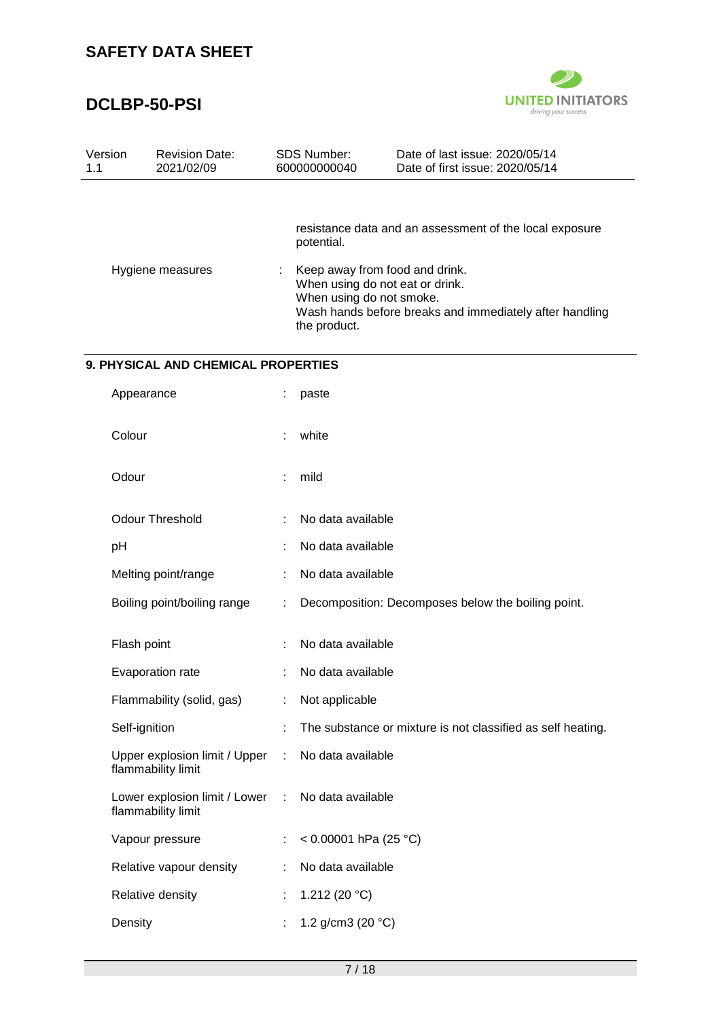

| Version<br>1.1 | <b>Revision Date:</b><br>2021/02/09                 |   | <b>SDS Number:</b><br>600000000040       | Date of last issue: 2020/05/14<br>Date of first issue: 2020/05/14                                                            |
|----------------|-----------------------------------------------------|---|------------------------------------------|------------------------------------------------------------------------------------------------------------------------------|
|                |                                                     |   | potential.                               | resistance data and an assessment of the local exposure                                                                      |
|                | Hygiene measures                                    | ÷ | When using do not smoke.<br>the product. | Keep away from food and drink.<br>When using do not eat or drink.<br>Wash hands before breaks and immediately after handling |
|                | 9. PHYSICAL AND CHEMICAL PROPERTIES                 |   |                                          |                                                                                                                              |
|                | Appearance                                          |   | paste                                    |                                                                                                                              |
|                | Colour                                              |   | white                                    |                                                                                                                              |
|                | Odour                                               |   | mild                                     |                                                                                                                              |
|                | <b>Odour Threshold</b>                              |   | No data available                        |                                                                                                                              |
| pH             |                                                     |   | No data available                        |                                                                                                                              |
|                | Melting point/range                                 |   | No data available                        |                                                                                                                              |
|                | Boiling point/boiling range                         |   |                                          | Decomposition: Decomposes below the boiling point.                                                                           |
|                | Flash point                                         |   | No data available                        |                                                                                                                              |
|                | Evaporation rate                                    |   | No data available                        |                                                                                                                              |
|                | Flammability (solid, gas)                           |   | Not applicable                           |                                                                                                                              |
|                | Self-ignition                                       |   |                                          | The substance or mixture is not classified as self heating.                                                                  |
|                | Upper explosion limit / Upper<br>flammability limit | ÷ | No data available                        |                                                                                                                              |
|                | Lower explosion limit / Lower<br>flammability limit | ÷ | No data available                        |                                                                                                                              |
|                | Vapour pressure                                     |   | < $0.00001$ hPa (25 °C)                  |                                                                                                                              |
|                | Relative vapour density                             |   | No data available                        |                                                                                                                              |
|                | Relative density                                    |   | 1.212 (20 $°C$ )                         |                                                                                                                              |
|                | Density                                             |   | 1.2 g/cm3 (20 $°C$ )                     |                                                                                                                              |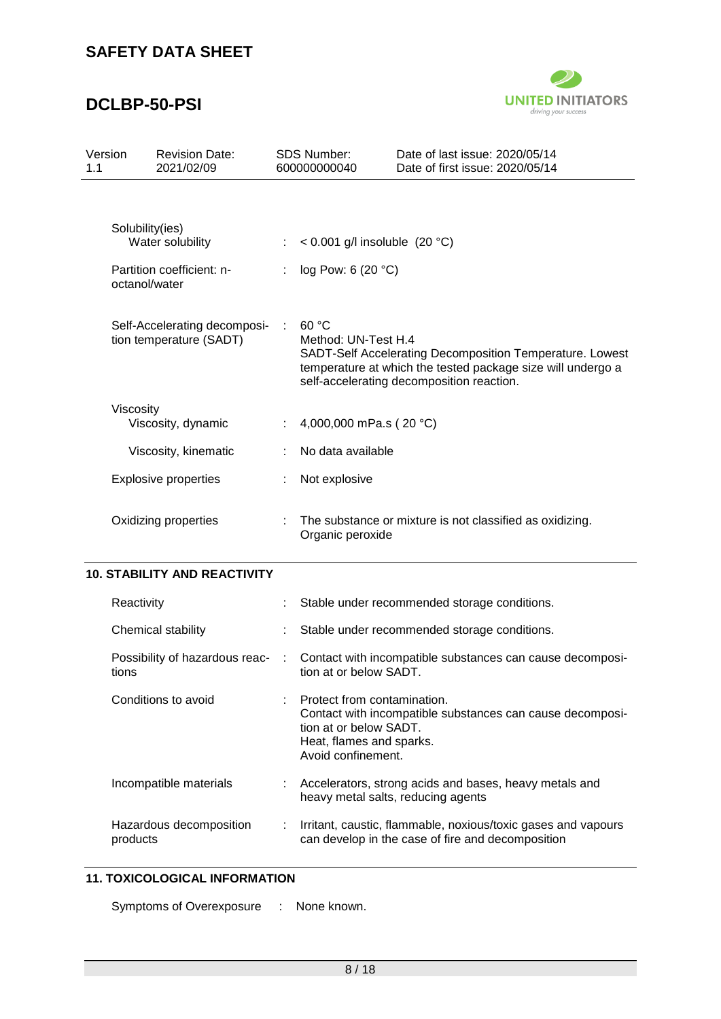# **DCLBP-50-PSI**



| Version<br>1.1                                          |                                  | <b>Revision Date:</b><br>2021/02/09                                                                                                                                                                  | <b>SDS Number:</b><br>600000000040                                                                                 | Date of last issue: 2020/05/14<br>Date of first issue: 2020/05/14 |  |
|---------------------------------------------------------|----------------------------------|------------------------------------------------------------------------------------------------------------------------------------------------------------------------------------------------------|--------------------------------------------------------------------------------------------------------------------|-------------------------------------------------------------------|--|
|                                                         | Solubility(ies)<br>octanol/water | Water solubility<br>Partition coefficient: n-                                                                                                                                                        | < 0.001 g/l insoluble $(20 °C)$<br>log Pow: 6 (20 °C)                                                              |                                                                   |  |
| Self-Accelerating decomposi-<br>tion temperature (SADT) |                                  | 60 °C<br>Method: UN-Test H.4<br>SADT-Self Accelerating Decomposition Temperature. Lowest<br>temperature at which the tested package size will undergo a<br>self-accelerating decomposition reaction. |                                                                                                                    |                                                                   |  |
|                                                         | Viscosity                        | Viscosity, dynamic                                                                                                                                                                                   | 4,000,000 mPa.s (20 °C)                                                                                            |                                                                   |  |
|                                                         |                                  | Viscosity, kinematic                                                                                                                                                                                 | No data available                                                                                                  |                                                                   |  |
|                                                         |                                  | <b>Explosive properties</b>                                                                                                                                                                          | Not explosive                                                                                                      |                                                                   |  |
| Oxidizing properties                                    |                                  | Organic peroxide                                                                                                                                                                                     | The substance or mixture is not classified as oxidizing.                                                           |                                                                   |  |
|                                                         |                                  | <b>10. STABILITY AND REACTIVITY</b>                                                                                                                                                                  |                                                                                                                    |                                                                   |  |
|                                                         | Reactivity                       |                                                                                                                                                                                                      |                                                                                                                    | Stable under recommended storage conditions.                      |  |
|                                                         |                                  | Chemical stability                                                                                                                                                                                   |                                                                                                                    | Stable under recommended storage conditions.                      |  |
|                                                         | tions                            | Possibility of hazardous reac-                                                                                                                                                                       | Contact with incompatible substances can cause decomposi-<br>tion at or below SADT.                                |                                                                   |  |
|                                                         |                                  | Conditions to avoid                                                                                                                                                                                  | Protect from contamination.<br>tion at or below SADT.<br>Heat, flames and sparks.<br>Avoid confinement.            | Contact with incompatible substances can cause decomposi-         |  |
|                                                         | Incompatible materials           |                                                                                                                                                                                                      | Accelerators, strong acids and bases, heavy metals and<br>heavy metal salts, reducing agents                       |                                                                   |  |
| Hazardous decomposition<br>products                     |                                  |                                                                                                                                                                                                      | Irritant, caustic, flammable, noxious/toxic gases and vapours<br>can develop in the case of fire and decomposition |                                                                   |  |

### **11. TOXICOLOGICAL INFORMATION**

Symptoms of Overexposure : None known.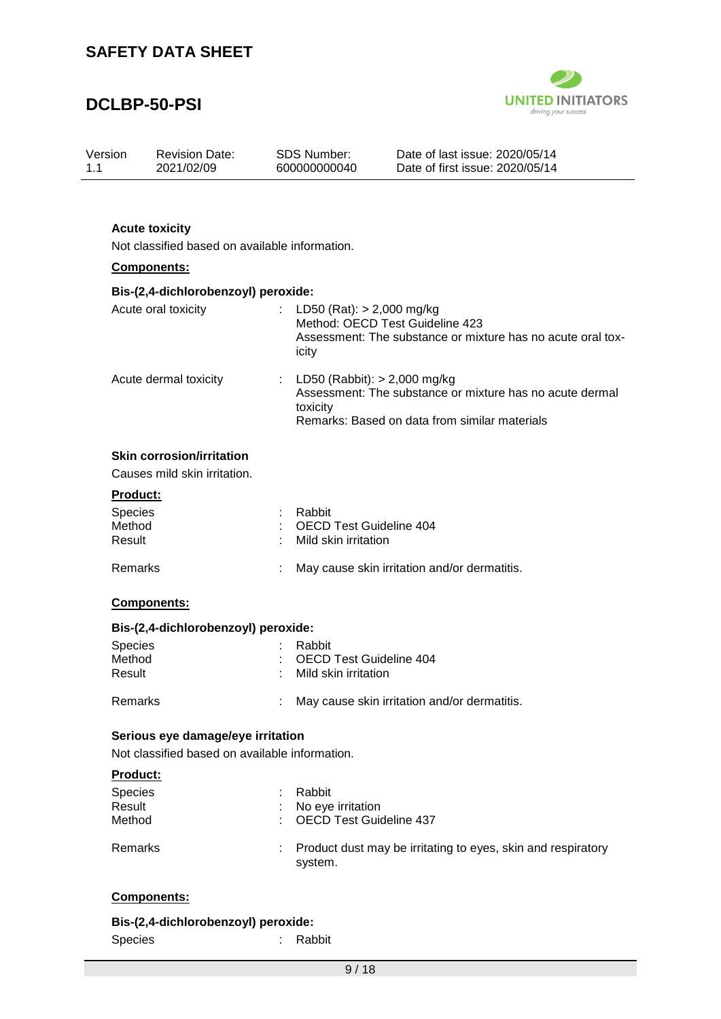

| Version<br>1.1   | <b>Revision Date:</b><br>2021/02/09                                     |    | <b>SDS Number:</b><br>600000000040                     | Date of last issue: 2020/05/14<br>Date of first issue: 2020/05/14                                         |  |  |  |  |  |
|------------------|-------------------------------------------------------------------------|----|--------------------------------------------------------|-----------------------------------------------------------------------------------------------------------|--|--|--|--|--|
|                  |                                                                         |    |                                                        |                                                                                                           |  |  |  |  |  |
|                  | <b>Acute toxicity</b><br>Not classified based on available information. |    |                                                        |                                                                                                           |  |  |  |  |  |
|                  | Components:                                                             |    |                                                        |                                                                                                           |  |  |  |  |  |
|                  | Bis-(2,4-dichlorobenzoyl) peroxide:                                     |    |                                                        |                                                                                                           |  |  |  |  |  |
|                  | Acute oral toxicity                                                     |    | LD50 (Rat): $> 2,000$ mg/kg<br>icity                   | Method: OECD Test Guideline 423<br>Assessment: The substance or mixture has no acute oral tox-            |  |  |  |  |  |
|                  | Acute dermal toxicity                                                   | ÷. | LD50 (Rabbit): $> 2,000$ mg/kg<br>toxicity             | Assessment: The substance or mixture has no acute dermal<br>Remarks: Based on data from similar materials |  |  |  |  |  |
|                  | <b>Skin corrosion/irritation</b>                                        |    |                                                        |                                                                                                           |  |  |  |  |  |
|                  | Causes mild skin irritation.                                            |    |                                                        |                                                                                                           |  |  |  |  |  |
| Product:         |                                                                         |    |                                                        |                                                                                                           |  |  |  |  |  |
| Species          |                                                                         |    | Rabbit                                                 |                                                                                                           |  |  |  |  |  |
| Method<br>Result |                                                                         |    | <b>OECD Test Guideline 404</b><br>Mild skin irritation |                                                                                                           |  |  |  |  |  |
|                  |                                                                         |    |                                                        |                                                                                                           |  |  |  |  |  |
| Remarks          |                                                                         |    | May cause skin irritation and/or dermatitis.           |                                                                                                           |  |  |  |  |  |
|                  | Components:                                                             |    |                                                        |                                                                                                           |  |  |  |  |  |
|                  | Bis-(2,4-dichlorobenzoyl) peroxide:                                     |    |                                                        |                                                                                                           |  |  |  |  |  |
| Species          |                                                                         |    | Rabbit                                                 |                                                                                                           |  |  |  |  |  |
| Method<br>Result |                                                                         |    | <b>OECD Test Guideline 404</b><br>Mild skin irritation |                                                                                                           |  |  |  |  |  |
|                  |                                                                         |    |                                                        |                                                                                                           |  |  |  |  |  |
| Remarks          |                                                                         |    |                                                        | May cause skin irritation and/or dermatitis.                                                              |  |  |  |  |  |
|                  | Serious eye damage/eye irritation                                       |    |                                                        |                                                                                                           |  |  |  |  |  |
|                  | Not classified based on available information.                          |    |                                                        |                                                                                                           |  |  |  |  |  |
| Product:         |                                                                         |    |                                                        |                                                                                                           |  |  |  |  |  |
| Species          |                                                                         |    | Rabbit                                                 |                                                                                                           |  |  |  |  |  |
| Result           |                                                                         |    | No eye irritation                                      |                                                                                                           |  |  |  |  |  |
| Method           |                                                                         |    | <b>OECD Test Guideline 437</b>                         |                                                                                                           |  |  |  |  |  |
| Remarks          |                                                                         |    | system.                                                | Product dust may be irritating to eyes, skin and respiratory                                              |  |  |  |  |  |
|                  | Components:                                                             |    |                                                        |                                                                                                           |  |  |  |  |  |
|                  |                                                                         |    |                                                        |                                                                                                           |  |  |  |  |  |

| Bis-(2,4-dichlorobenzoyl) peroxide: |          |
|-------------------------------------|----------|
| <b>Species</b>                      | : Rabbit |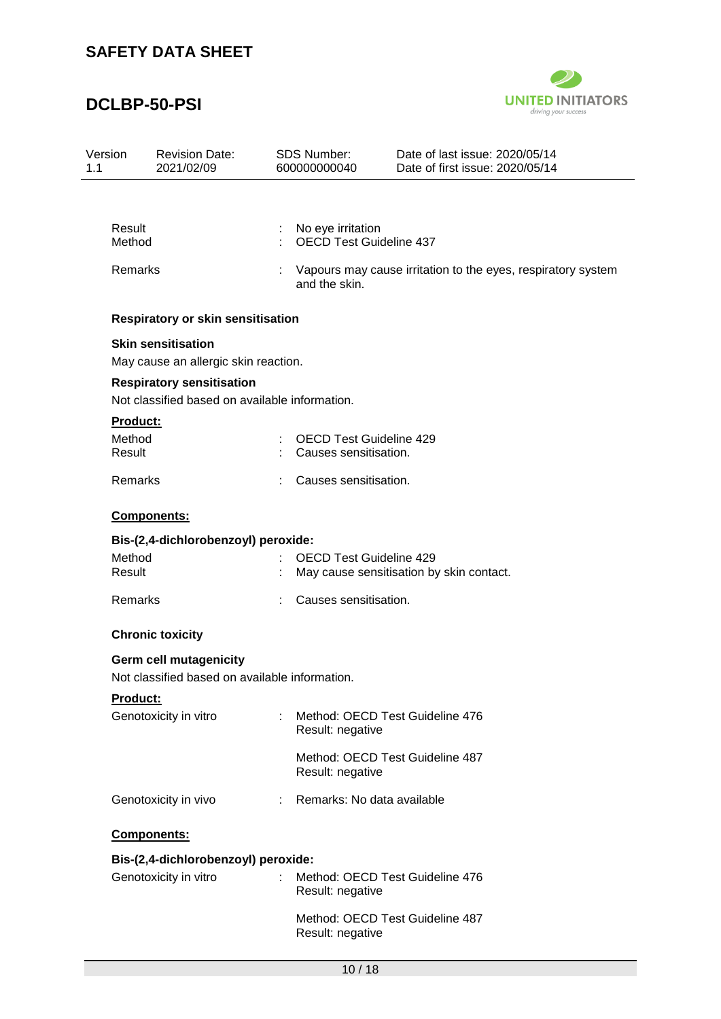

| Version<br>1.1   | <b>Revision Date:</b><br>2021/02/09                                                | <b>SDS Number:</b><br>600000000040                                         | Date of last issue: 2020/05/14<br>Date of first issue: 2020/05/14 |  |  |  |  |
|------------------|------------------------------------------------------------------------------------|----------------------------------------------------------------------------|-------------------------------------------------------------------|--|--|--|--|
|                  |                                                                                    |                                                                            |                                                                   |  |  |  |  |
| Result<br>Method |                                                                                    | No eye irritation                                                          | <b>OECD Test Guideline 437</b>                                    |  |  |  |  |
| Remarks          |                                                                                    | and the skin.                                                              | Vapours may cause irritation to the eyes, respiratory system      |  |  |  |  |
|                  | Respiratory or skin sensitisation                                                  |                                                                            |                                                                   |  |  |  |  |
|                  | <b>Skin sensitisation</b>                                                          |                                                                            |                                                                   |  |  |  |  |
|                  | May cause an allergic skin reaction.                                               |                                                                            |                                                                   |  |  |  |  |
|                  | <b>Respiratory sensitisation</b><br>Not classified based on available information. |                                                                            |                                                                   |  |  |  |  |
| <b>Product:</b>  |                                                                                    |                                                                            |                                                                   |  |  |  |  |
| Method<br>Result |                                                                                    |                                                                            | <b>OECD Test Guideline 429</b><br>Causes sensitisation.           |  |  |  |  |
| <b>Remarks</b>   |                                                                                    |                                                                            | Causes sensitisation.                                             |  |  |  |  |
|                  | Components:                                                                        |                                                                            |                                                                   |  |  |  |  |
|                  | Bis-(2,4-dichlorobenzoyl) peroxide:                                                |                                                                            |                                                                   |  |  |  |  |
| Method<br>Result |                                                                                    | <b>OECD Test Guideline 429</b><br>May cause sensitisation by skin contact. |                                                                   |  |  |  |  |
| Remarks          |                                                                                    |                                                                            | Causes sensitisation.                                             |  |  |  |  |
|                  | <b>Chronic toxicity</b>                                                            |                                                                            |                                                                   |  |  |  |  |
|                  | Germ cell mutagenicity                                                             |                                                                            |                                                                   |  |  |  |  |
|                  | Not classified based on available information.                                     |                                                                            |                                                                   |  |  |  |  |
| Product:         |                                                                                    |                                                                            |                                                                   |  |  |  |  |
|                  | Genotoxicity in vitro                                                              | Result: negative                                                           | Method: OECD Test Guideline 476                                   |  |  |  |  |
|                  |                                                                                    | Result: negative                                                           | Method: OECD Test Guideline 487                                   |  |  |  |  |
|                  | Genotoxicity in vivo                                                               | $\mathcal{L}^{\text{max}}$                                                 | Remarks: No data available                                        |  |  |  |  |
|                  | Components:                                                                        |                                                                            |                                                                   |  |  |  |  |
|                  | Bis-(2,4-dichlorobenzoyl) peroxide:                                                |                                                                            |                                                                   |  |  |  |  |
|                  | Genotoxicity in vitro                                                              | Result: negative                                                           | Method: OECD Test Guideline 476                                   |  |  |  |  |
|                  |                                                                                    | Result: negative                                                           | Method: OECD Test Guideline 487                                   |  |  |  |  |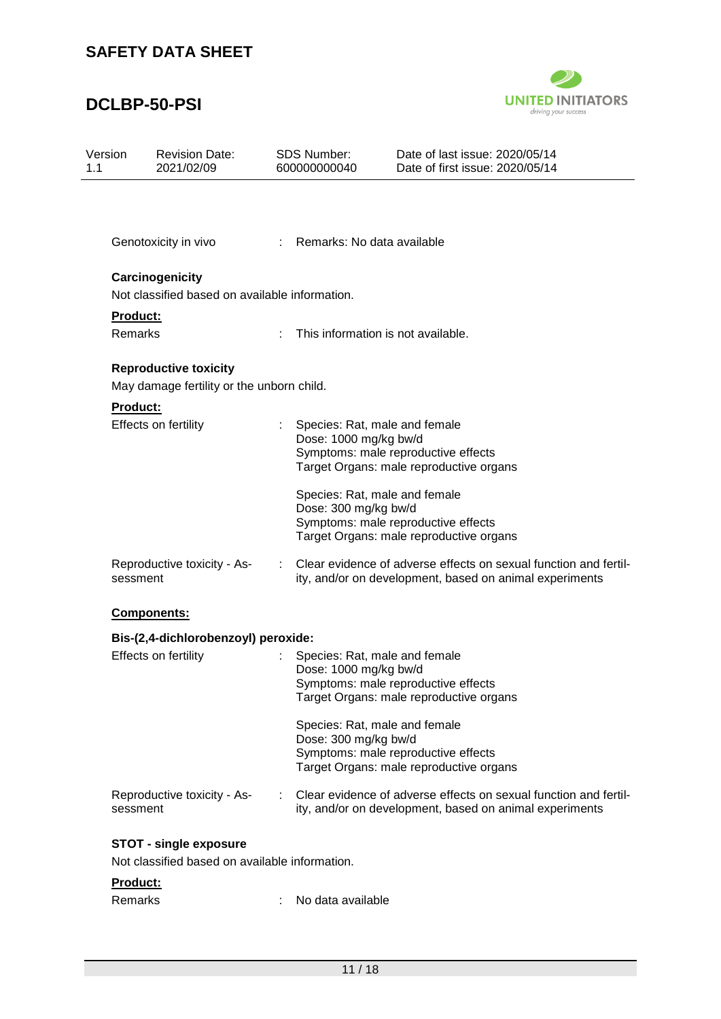

| Version<br>1.1      | <b>Revision Date:</b><br>2021/02/09                                       |   | <b>SDS Number:</b><br>600000000040 | Date of last issue: 2020/05/14<br>Date of first issue: 2020/05/14                                                           |
|---------------------|---------------------------------------------------------------------------|---|------------------------------------|-----------------------------------------------------------------------------------------------------------------------------|
|                     |                                                                           |   |                                    |                                                                                                                             |
|                     | Genotoxicity in vivo                                                      |   | Remarks: No data available         |                                                                                                                             |
|                     | Carcinogenicity<br>Not classified based on available information.         |   |                                    |                                                                                                                             |
| Product:<br>Remarks |                                                                           |   |                                    | This information is not available.                                                                                          |
|                     | <b>Reproductive toxicity</b><br>May damage fertility or the unborn child. |   |                                    |                                                                                                                             |
| <b>Product:</b>     |                                                                           |   |                                    |                                                                                                                             |
|                     | Effects on fertility                                                      |   | Dose: 1000 mg/kg bw/d              | Species: Rat, male and female<br>Symptoms: male reproductive effects<br>Target Organs: male reproductive organs             |
|                     |                                                                           |   | Dose: 300 mg/kg bw/d               | Species: Rat, male and female<br>Symptoms: male reproductive effects<br>Target Organs: male reproductive organs             |
| sessment            | Reproductive toxicity - As-                                               | ÷ |                                    | Clear evidence of adverse effects on sexual function and fertil-<br>ity, and/or on development, based on animal experiments |
|                     | Components:                                                               |   |                                    |                                                                                                                             |
|                     | Bis-(2,4-dichlorobenzoyl) peroxide:                                       |   |                                    |                                                                                                                             |
|                     | Effects on fertility                                                      |   | Dose: 1000 mg/kg bw/d              | Species: Rat, male and female<br>Symptoms: male reproductive effects<br>Target Organs: male reproductive organs             |
|                     |                                                                           |   | Dose: 300 mg/kg bw/d               | Species: Rat, male and female<br>Symptoms: male reproductive effects<br>Target Organs: male reproductive organs             |
| sessment            | Reproductive toxicity - As-                                               |   |                                    | Clear evidence of adverse effects on sexual function and fertil-<br>ity, and/or on development, based on animal experiments |
|                     | <b>STOT - single exposure</b>                                             |   |                                    |                                                                                                                             |
|                     | Not classified based on available information.                            |   |                                    |                                                                                                                             |
| Product:            |                                                                           |   |                                    |                                                                                                                             |
| Remarks             |                                                                           |   | No data available                  |                                                                                                                             |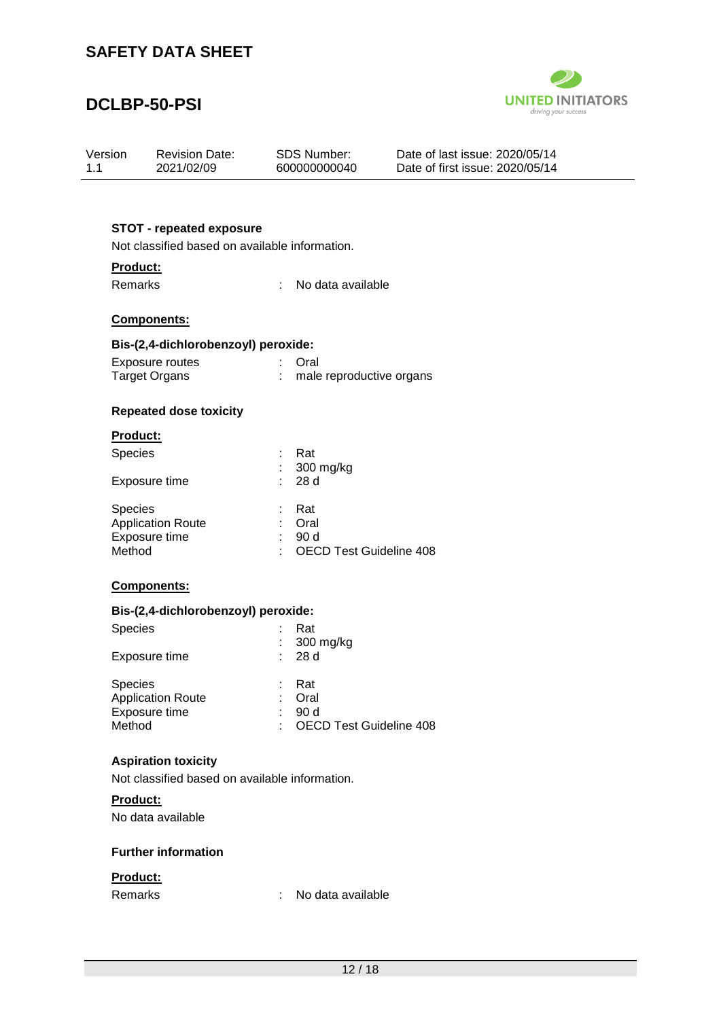## **DCLBP-50-PSI**



| Version | <b>Revision Date:</b> | SDS Number:  | Date of last issue: 2020/05/14  |
|---------|-----------------------|--------------|---------------------------------|
| 1.1     | 2021/02/09            | 600000000040 | Date of first issue: 2020/05/14 |

#### **STOT - repeated exposure**

Not classified based on available information.

#### **Product:**

Remarks : No data available

#### **Components:**

#### **Bis-(2,4-dichlorobenzoyl) peroxide:**

| Exposure routes      | : Oral                   |
|----------------------|--------------------------|
| <b>Target Organs</b> | male reproductive organs |

#### **Repeated dose toxicity**

#### **Product:**

| <b>Species</b>           |   | Rat                       |
|--------------------------|---|---------------------------|
|                          |   | $: 300$ mg/kg             |
| Exposure time            |   | : 28d                     |
| <b>Species</b>           |   | – Rat                     |
| <b>Application Route</b> | t | Oral                      |
| Exposure time            |   | 90 d                      |
| Method                   |   | : OECD Test Guideline 408 |

#### **Components:**

#### **Bis-(2,4-dichlorobenzoyl) peroxide:**

| <b>Species</b><br>Exposure time                                       | Rat<br>$: 300$ mg/kg<br>: 28d                   |
|-----------------------------------------------------------------------|-------------------------------------------------|
| <b>Species</b><br><b>Application Route</b><br>Exposure time<br>Method | Rat<br>Oral<br>90d<br>: OECD Test Guideline 408 |

#### **Aspiration toxicity**

Not classified based on available information.

#### **Product:**

No data available

#### **Further information**

#### **Product:**

Remarks : No data available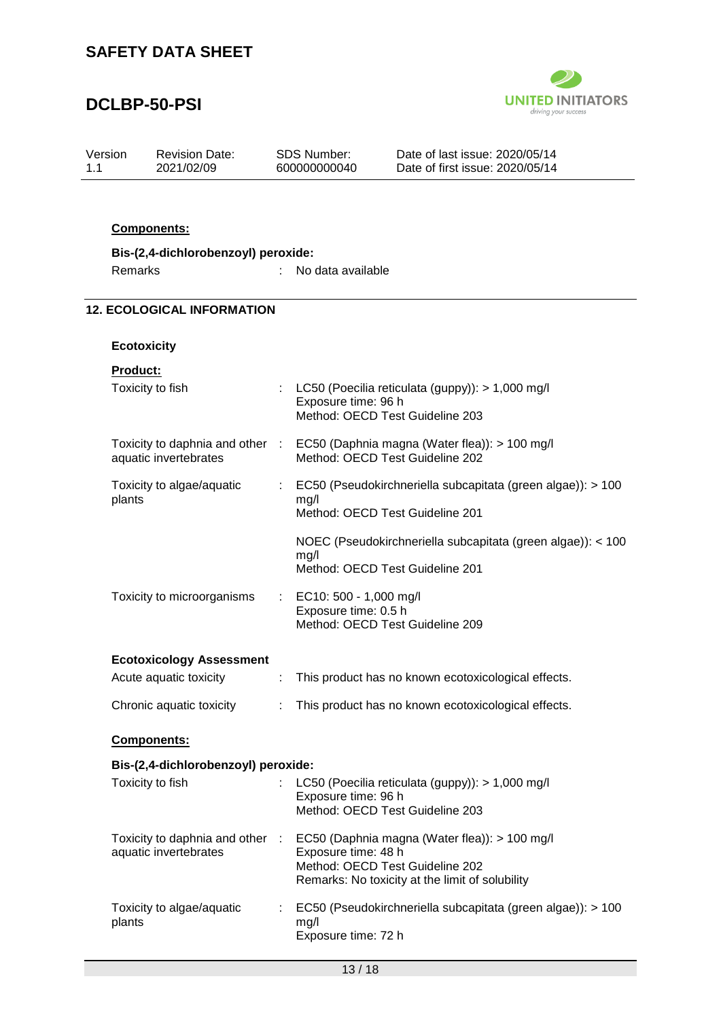# **DCLBP-50-PSI**



| Version | <b>Revision Date:</b> | SDS Number:  | Date of last issue: 2020/05/14  |
|---------|-----------------------|--------------|---------------------------------|
| 11      | 2021/02/09            | 600000000040 | Date of first issue: 2020/05/14 |

#### **Components:**

| Bis-(2,4-dichlorobenzoyl) peroxide: |                   |
|-------------------------------------|-------------------|
| Remarks                             | No data available |

#### **12. ECOLOGICAL INFORMATION**

#### **Ecotoxicity**

| Toxicity to fish                                         |   | LC50 (Poecilia reticulata (guppy)): > 1,000 mg/l<br>Exposure time: 96 h<br>Method: OECD Test Guideline 203                                                 |
|----------------------------------------------------------|---|------------------------------------------------------------------------------------------------------------------------------------------------------------|
| Toxicity to daphnia and other :<br>aquatic invertebrates |   | EC50 (Daphnia magna (Water flea)): > 100 mg/l<br>Method: OECD Test Guideline 202                                                                           |
| Toxicity to algae/aquatic<br>plants                      | ÷ | EC50 (Pseudokirchneriella subcapitata (green algae)): > 100<br>mg/l<br>Method: OECD Test Guideline 201                                                     |
|                                                          |   | NOEC (Pseudokirchneriella subcapitata (green algae)): < 100<br>mg/l<br>Method: OECD Test Guideline 201                                                     |
| Toxicity to microorganisms                               |   | EC10: 500 - 1,000 mg/l<br>Exposure time: 0.5 h<br>Method: OECD Test Guideline 209                                                                          |
| <b>Ecotoxicology Assessment</b>                          |   |                                                                                                                                                            |
| Acute aquatic toxicity                                   | ÷ | This product has no known ecotoxicological effects.                                                                                                        |
| Chronic aquatic toxicity                                 |   | This product has no known ecotoxicological effects.                                                                                                        |
| Components:                                              |   |                                                                                                                                                            |
| Bis-(2,4-dichlorobenzoyl) peroxide:                      |   |                                                                                                                                                            |
| Toxicity to fish                                         |   | LC50 (Poecilia reticulata (guppy)): > 1,000 mg/l<br>Exposure time: 96 h<br>Method: OECD Test Guideline 203                                                 |
| Toxicity to daphnia and other :<br>aquatic invertebrates |   | EC50 (Daphnia magna (Water flea)): > 100 mg/l<br>Exposure time: 48 h<br>Method: OECD Test Guideline 202<br>Remarks: No toxicity at the limit of solubility |
| Toxicity to algae/aquatic<br>plants                      | ÷ | EC50 (Pseudokirchneriella subcapitata (green algae)): > 100<br>mg/l<br>Exposure time: 72 h                                                                 |
|                                                          |   | 13/18                                                                                                                                                      |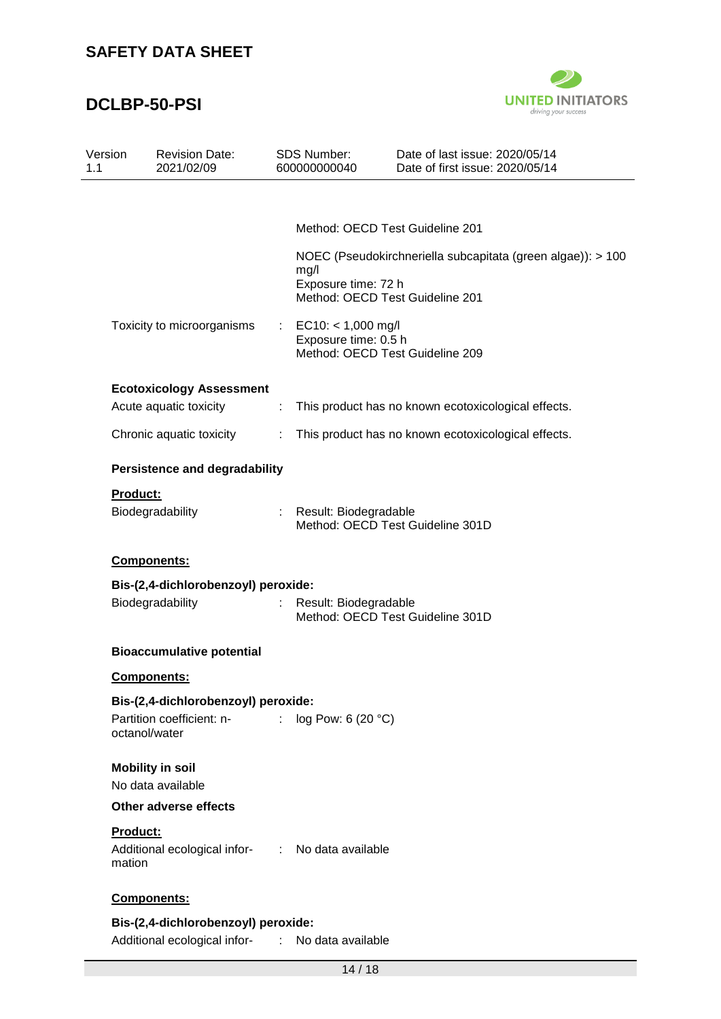

| Version                   | <b>Revision Date:</b><br>2021/02/09              |                                                                                                                                                                                                                                                                                                                                                                                                                               | SDS Number:<br>600000000040                  | Date of last issue: 2020/05/14<br>Date of first issue: 2020/05/14                              |
|---------------------------|--------------------------------------------------|-------------------------------------------------------------------------------------------------------------------------------------------------------------------------------------------------------------------------------------------------------------------------------------------------------------------------------------------------------------------------------------------------------------------------------|----------------------------------------------|------------------------------------------------------------------------------------------------|
|                           |                                                  |                                                                                                                                                                                                                                                                                                                                                                                                                               |                                              |                                                                                                |
|                           |                                                  |                                                                                                                                                                                                                                                                                                                                                                                                                               |                                              | Method: OECD Test Guideline 201                                                                |
|                           |                                                  |                                                                                                                                                                                                                                                                                                                                                                                                                               | mg/l<br>Exposure time: 72 h                  | NOEC (Pseudokirchneriella subcapitata (green algae)): > 100<br>Method: OECD Test Guideline 201 |
|                           | Toxicity to microorganisms                       |                                                                                                                                                                                                                                                                                                                                                                                                                               | $EC10: < 1,000$ mg/l<br>Exposure time: 0.5 h | Method: OECD Test Guideline 209                                                                |
|                           | <b>Ecotoxicology Assessment</b>                  |                                                                                                                                                                                                                                                                                                                                                                                                                               |                                              |                                                                                                |
|                           | Acute aquatic toxicity                           | ÷                                                                                                                                                                                                                                                                                                                                                                                                                             |                                              | This product has no known ecotoxicological effects.                                            |
|                           | Chronic aquatic toxicity                         | ÷                                                                                                                                                                                                                                                                                                                                                                                                                             |                                              | This product has no known ecotoxicological effects.                                            |
|                           | <b>Persistence and degradability</b>             |                                                                                                                                                                                                                                                                                                                                                                                                                               |                                              |                                                                                                |
| Product:                  |                                                  |                                                                                                                                                                                                                                                                                                                                                                                                                               |                                              |                                                                                                |
|                           | Biodegradability                                 | ÷.                                                                                                                                                                                                                                                                                                                                                                                                                            | Result: Biodegradable                        | Method: OECD Test Guideline 301D                                                               |
|                           | Components:                                      |                                                                                                                                                                                                                                                                                                                                                                                                                               |                                              |                                                                                                |
|                           | Bis-(2,4-dichlorobenzoyl) peroxide:              |                                                                                                                                                                                                                                                                                                                                                                                                                               |                                              |                                                                                                |
|                           | Biodegradability                                 | ÷                                                                                                                                                                                                                                                                                                                                                                                                                             | Result: Biodegradable                        | Method: OECD Test Guideline 301D                                                               |
|                           | <b>Bioaccumulative potential</b>                 |                                                                                                                                                                                                                                                                                                                                                                                                                               |                                              |                                                                                                |
|                           | <b>Components:</b>                               |                                                                                                                                                                                                                                                                                                                                                                                                                               |                                              |                                                                                                |
|                           | Bis-(2,4-dichlorobenzoyl) peroxide:              |                                                                                                                                                                                                                                                                                                                                                                                                                               |                                              |                                                                                                |
|                           | Partition coefficient: n-<br>octanol/water       | ÷.                                                                                                                                                                                                                                                                                                                                                                                                                            | log Pow: 6 (20 °C)                           |                                                                                                |
|                           | <b>Mobility in soil</b>                          |                                                                                                                                                                                                                                                                                                                                                                                                                               |                                              |                                                                                                |
|                           | No data available                                |                                                                                                                                                                                                                                                                                                                                                                                                                               |                                              |                                                                                                |
|                           | <b>Other adverse effects</b>                     |                                                                                                                                                                                                                                                                                                                                                                                                                               |                                              |                                                                                                |
| <b>Product:</b><br>mation | Additional ecological infor- : No data available |                                                                                                                                                                                                                                                                                                                                                                                                                               |                                              |                                                                                                |
|                           | Components:                                      |                                                                                                                                                                                                                                                                                                                                                                                                                               |                                              |                                                                                                |
|                           | Bis-(2,4-dichlorobenzoyl) peroxide:              |                                                                                                                                                                                                                                                                                                                                                                                                                               |                                              |                                                                                                |
|                           | Additional ecological infor-                     | $\mathcal{I}^{\mathcal{I}^{\mathcal{I}^{\mathcal{I}^{\mathcal{I}^{\mathcal{I}^{\mathcal{I}^{\mathcal{I}^{\mathcal{I}^{\mathcal{I}^{\mathcal{I}^{\mathcal{I}^{\mathcal{I}^{\mathcal{I}^{\mathcal{I}^{\mathcal{I}^{\mathcal{I}^{\mathcal{I}^{\mathcal{I}^{\mathcal{I}^{\mathcal{I}^{\mathcal{I}^{\mathcal{I}^{\mathcal{I}^{\mathcal{I}^{\mathcal{I}^{\mathcal{I}^{\mathcal{I}^{\mathcal{I}^{\mathcal{I}^{\mathcal{I}^{\mathcal$ | No data available                            |                                                                                                |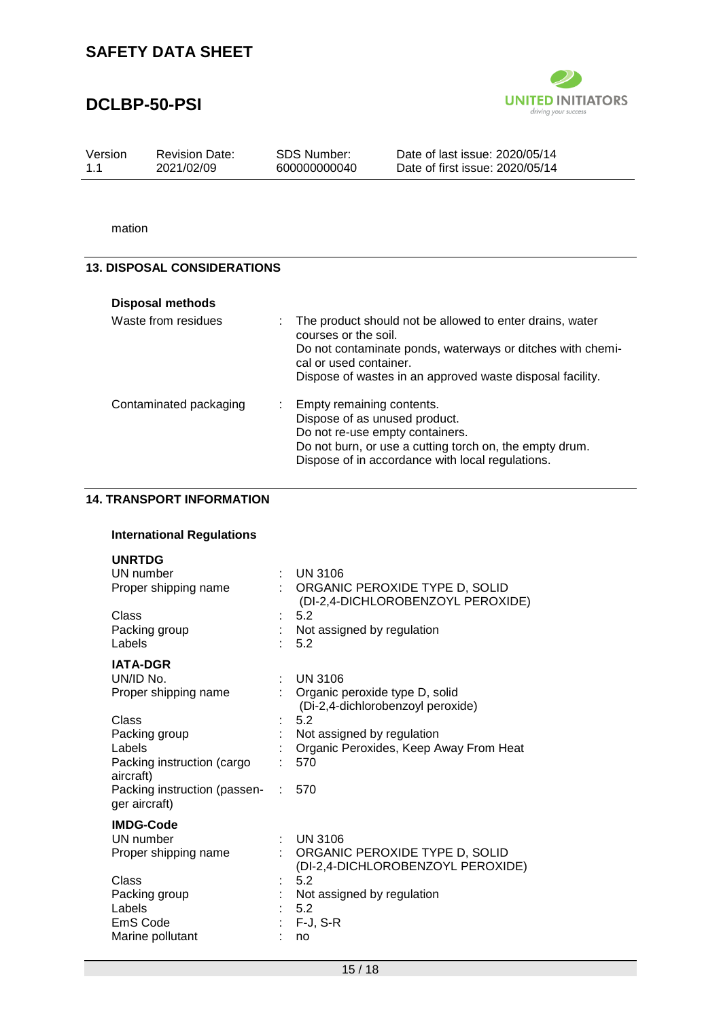## **DCLBP-50-PSI**



Version 1.1 Revision Date: 2021/02/09

SDS Number: 600000000040 Date of last issue: 2020/05/14 Date of first issue: 2020/05/14

mation

#### **13. DISPOSAL CONSIDERATIONS**

| <b>Disposal methods</b> |                                                                                                                                                                                                                                         |
|-------------------------|-----------------------------------------------------------------------------------------------------------------------------------------------------------------------------------------------------------------------------------------|
| Waste from residues     | : The product should not be allowed to enter drains, water<br>courses or the soil.<br>Do not contaminate ponds, waterways or ditches with chemi-<br>cal or used container.<br>Dispose of wastes in an approved waste disposal facility. |
| Contaminated packaging  | : Empty remaining contents.<br>Dispose of as unused product.<br>Do not re-use empty containers.<br>Do not burn, or use a cutting torch on, the empty drum.<br>Dispose of in accordance with local regulations.                          |

#### **14. TRANSPORT INFORMATION**

#### **International Regulations**

| <b>UNRTDG</b><br>UN number                    | ÷ | <b>UN 3106</b>                                                        |
|-----------------------------------------------|---|-----------------------------------------------------------------------|
| Proper shipping name                          |   | : ORGANIC PEROXIDE TYPE D, SOLID<br>(DI-2,4-DICHLOROBENZOYL PEROXIDE) |
| Class                                         |   | 5.2                                                                   |
| Packing group                                 |   | Not assigned by regulation                                            |
| Labels                                        |   | 5.2                                                                   |
| <b>IATA-DGR</b>                               |   |                                                                       |
| UN/ID No.                                     |   | <b>UN 3106</b>                                                        |
| Proper shipping name                          |   | : Organic peroxide type D, solid<br>(Di-2,4-dichlorobenzoyl peroxide) |
| Class                                         |   | 5.2                                                                   |
| Packing group                                 |   | Not assigned by regulation                                            |
| Labels                                        |   | Organic Peroxides, Keep Away From Heat                                |
| Packing instruction (cargo<br>aircraft)       |   | 570                                                                   |
| Packing instruction (passen-<br>ger aircraft) |   | 570                                                                   |
| <b>IMDG-Code</b>                              |   |                                                                       |
| UN number                                     |   | <b>UN 3106</b>                                                        |
| Proper shipping name                          |   | ORGANIC PEROXIDE TYPE D, SOLID                                        |
|                                               |   | (DI-2,4-DICHLOROBENZOYL PEROXIDE)                                     |
| Class                                         |   | 5.2                                                                   |
| Packing group                                 |   | Not assigned by regulation                                            |
| Labels                                        |   | 5.2                                                                   |
| EmS Code                                      |   | $F-J$ , S-R                                                           |
| Marine pollutant                              |   | no                                                                    |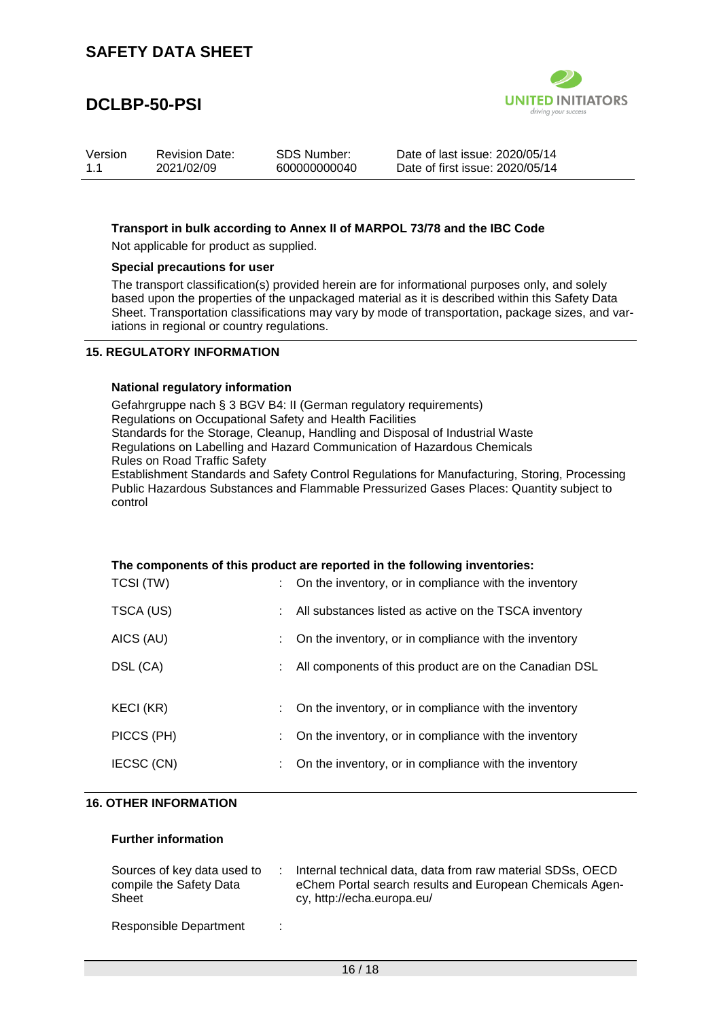# **DCLBP-50-PSI**



| Version | <b>Revision Date:</b> | SDS Number:  | Date of last issue: 2020/05/14  |
|---------|-----------------------|--------------|---------------------------------|
| 1.1     | 2021/02/09            | 600000000040 | Date of first issue: 2020/05/14 |

#### **Transport in bulk according to Annex II of MARPOL 73/78 and the IBC Code**

Not applicable for product as supplied.

#### **Special precautions for user**

The transport classification(s) provided herein are for informational purposes only, and solely based upon the properties of the unpackaged material as it is described within this Safety Data Sheet. Transportation classifications may vary by mode of transportation, package sizes, and variations in regional or country regulations.

#### **15. REGULATORY INFORMATION**

#### **National regulatory information**

Gefahrgruppe nach § 3 BGV B4: II (German regulatory requirements) Regulations on Occupational Safety and Health Facilities Standards for the Storage, Cleanup, Handling and Disposal of Industrial Waste Regulations on Labelling and Hazard Communication of Hazardous Chemicals Rules on Road Traffic Safety Establishment Standards and Safety Control Regulations for Manufacturing, Storing, Processing Public Hazardous Substances and Flammable Pressurized Gases Places: Quantity subject to control

| The components of this product are reported in the following inventories: |    |                                                          |  |  |
|---------------------------------------------------------------------------|----|----------------------------------------------------------|--|--|
| TCSI (TW)                                                                 |    | : On the inventory, or in compliance with the inventory  |  |  |
| TSCA (US)                                                                 |    | : All substances listed as active on the TSCA inventory  |  |  |
| AICS (AU)                                                                 |    | On the inventory, or in compliance with the inventory    |  |  |
| DSL (CA)                                                                  |    | : All components of this product are on the Canadian DSL |  |  |
| KECI (KR)                                                                 |    | : On the inventory, or in compliance with the inventory  |  |  |
| PICCS (PH)                                                                | t. | On the inventory, or in compliance with the inventory    |  |  |
| IECSC (CN)                                                                | ÷. | On the inventory, or in compliance with the inventory    |  |  |

#### **16. OTHER INFORMATION**

#### **Further information**

| Sources of key data used to<br>compile the Safety Data<br>Sheet |   | Internal technical data, data from raw material SDSs, OECD<br>eChem Portal search results and European Chemicals Agen-<br>cy, http://echa.europa.eu/ |
|-----------------------------------------------------------------|---|------------------------------------------------------------------------------------------------------------------------------------------------------|
| Responsible Department                                          | ÷ |                                                                                                                                                      |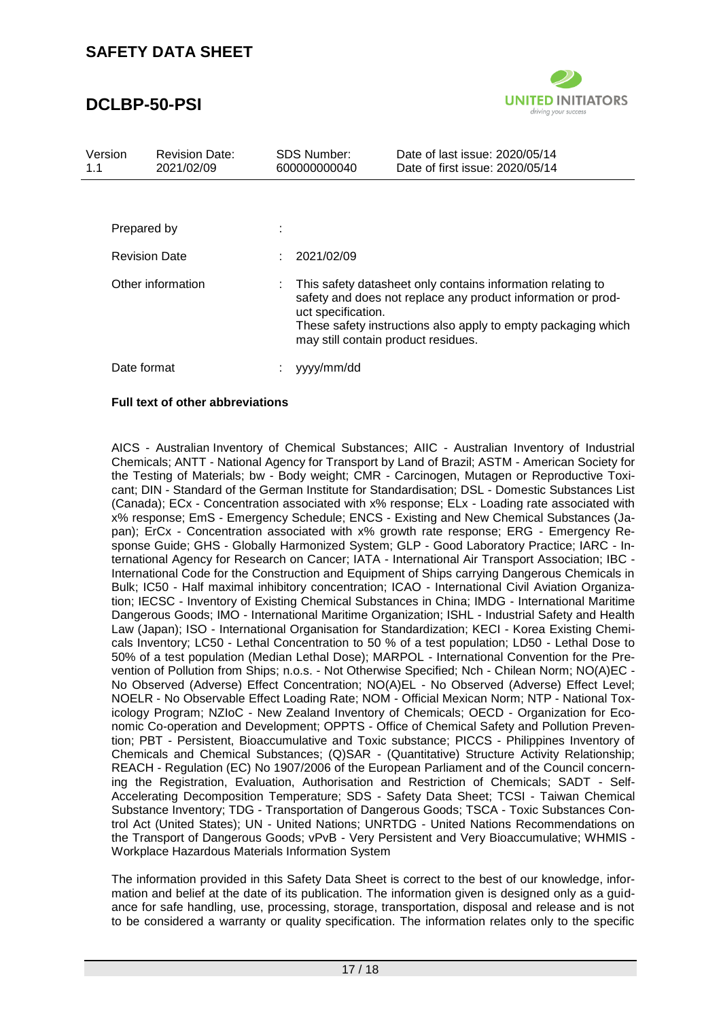## **DCLBP-50-PSI**



| Version<br>1.1 | <b>Revision Date:</b><br>2021/02/09 |   | SDS Number:<br>600000000040 | Date of last issue: 2020/05/14<br>Date of first issue: 2020/05/14                                                                                                                                                                   |
|----------------|-------------------------------------|---|-----------------------------|-------------------------------------------------------------------------------------------------------------------------------------------------------------------------------------------------------------------------------------|
|                |                                     |   |                             |                                                                                                                                                                                                                                     |
|                | Prepared by                         | ٠ |                             |                                                                                                                                                                                                                                     |
|                | <b>Revision Date</b>                |   | 2021/02/09                  |                                                                                                                                                                                                                                     |
|                | Other information                   | ÷ | uct specification.          | This safety datasheet only contains information relating to<br>safety and does not replace any product information or prod-<br>These safety instructions also apply to empty packaging which<br>may still contain product residues. |
|                | Date format                         |   | yyyy/mm/dd                  |                                                                                                                                                                                                                                     |

#### **Full text of other abbreviations**

AICS - Australian Inventory of Chemical Substances; AIIC - Australian Inventory of Industrial Chemicals; ANTT - National Agency for Transport by Land of Brazil; ASTM - American Society for the Testing of Materials; bw - Body weight; CMR - Carcinogen, Mutagen or Reproductive Toxicant; DIN - Standard of the German Institute for Standardisation; DSL - Domestic Substances List (Canada); ECx - Concentration associated with x% response; ELx - Loading rate associated with x% response; EmS - Emergency Schedule; ENCS - Existing and New Chemical Substances (Japan); ErCx - Concentration associated with x% growth rate response; ERG - Emergency Response Guide; GHS - Globally Harmonized System; GLP - Good Laboratory Practice; IARC - International Agency for Research on Cancer; IATA - International Air Transport Association; IBC - International Code for the Construction and Equipment of Ships carrying Dangerous Chemicals in Bulk; IC50 - Half maximal inhibitory concentration; ICAO - International Civil Aviation Organization; IECSC - Inventory of Existing Chemical Substances in China; IMDG - International Maritime Dangerous Goods; IMO - International Maritime Organization; ISHL - Industrial Safety and Health Law (Japan); ISO - International Organisation for Standardization; KECI - Korea Existing Chemicals Inventory; LC50 - Lethal Concentration to 50 % of a test population; LD50 - Lethal Dose to 50% of a test population (Median Lethal Dose); MARPOL - International Convention for the Prevention of Pollution from Ships; n.o.s. - Not Otherwise Specified; Nch - Chilean Norm; NO(A)EC - No Observed (Adverse) Effect Concentration; NO(A)EL - No Observed (Adverse) Effect Level; NOELR - No Observable Effect Loading Rate; NOM - Official Mexican Norm; NTP - National Toxicology Program; NZIoC - New Zealand Inventory of Chemicals; OECD - Organization for Economic Co-operation and Development; OPPTS - Office of Chemical Safety and Pollution Prevention; PBT - Persistent, Bioaccumulative and Toxic substance; PICCS - Philippines Inventory of Chemicals and Chemical Substances; (Q)SAR - (Quantitative) Structure Activity Relationship; REACH - Regulation (EC) No 1907/2006 of the European Parliament and of the Council concerning the Registration, Evaluation, Authorisation and Restriction of Chemicals; SADT - Self-Accelerating Decomposition Temperature; SDS - Safety Data Sheet; TCSI - Taiwan Chemical Substance Inventory; TDG - Transportation of Dangerous Goods; TSCA - Toxic Substances Control Act (United States); UN - United Nations; UNRTDG - United Nations Recommendations on the Transport of Dangerous Goods; vPvB - Very Persistent and Very Bioaccumulative; WHMIS - Workplace Hazardous Materials Information System

The information provided in this Safety Data Sheet is correct to the best of our knowledge, information and belief at the date of its publication. The information given is designed only as a guidance for safe handling, use, processing, storage, transportation, disposal and release and is not to be considered a warranty or quality specification. The information relates only to the specific